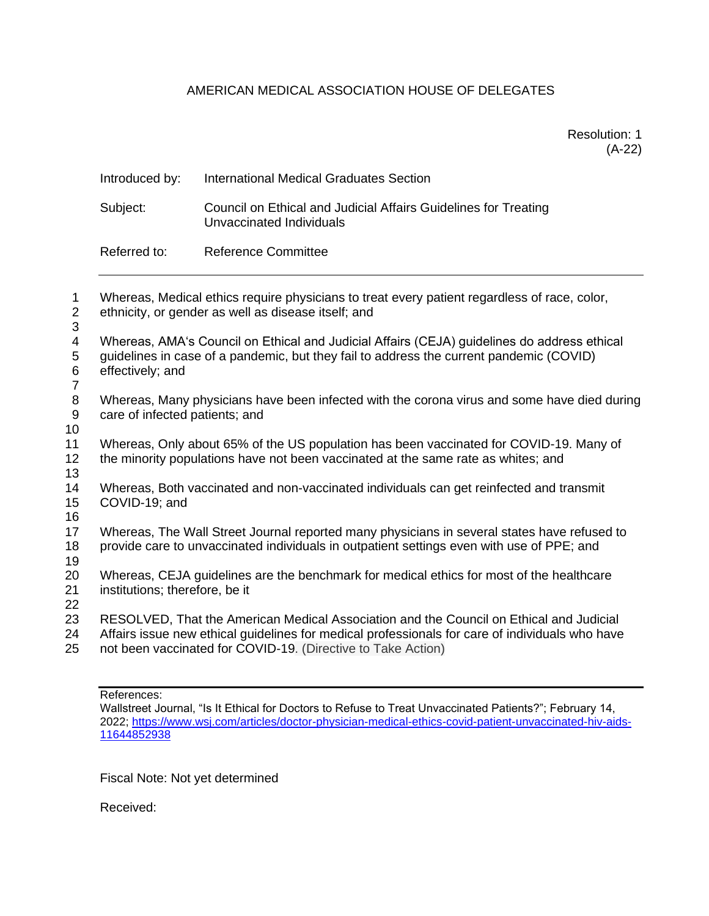## AMERICAN MEDICAL ASSOCIATION HOUSE OF DELEGATES

|                                                                                                                                                | Introduced by:                                                                                                                                                                                             | <b>International Medical Graduates Section</b>                                                                                                                                                                                                             |
|------------------------------------------------------------------------------------------------------------------------------------------------|------------------------------------------------------------------------------------------------------------------------------------------------------------------------------------------------------------|------------------------------------------------------------------------------------------------------------------------------------------------------------------------------------------------------------------------------------------------------------|
| $\mathbf{1}$<br>$\overline{2}$<br>3<br>$\overline{\mathcal{A}}$<br>$\mathbf 5$<br>$\,6$<br>$\overline{7}$<br>$\,8\,$<br>$\boldsymbol{9}$<br>10 | Subject:                                                                                                                                                                                                   | Council on Ethical and Judicial Affairs Guidelines for Treating<br>Unvaccinated Individuals                                                                                                                                                                |
|                                                                                                                                                | Referred to:                                                                                                                                                                                               | <b>Reference Committee</b>                                                                                                                                                                                                                                 |
|                                                                                                                                                | Whereas, Medical ethics require physicians to treat every patient regardless of race, color,<br>ethnicity, or gender as well as disease itself; and                                                        |                                                                                                                                                                                                                                                            |
|                                                                                                                                                | Whereas, AMA's Council on Ethical and Judicial Affairs (CEJA) guidelines do address ethical<br>guidelines in case of a pandemic, but they fail to address the current pandemic (COVID)<br>effectively; and |                                                                                                                                                                                                                                                            |
|                                                                                                                                                | Whereas, Many physicians have been infected with the corona virus and some have died during<br>care of infected patients; and                                                                              |                                                                                                                                                                                                                                                            |
| 11<br>12<br>13                                                                                                                                 | Whereas, Only about 65% of the US population has been vaccinated for COVID-19. Many of<br>the minority populations have not been vaccinated at the same rate as whites; and                                |                                                                                                                                                                                                                                                            |
| 14<br>15<br>16                                                                                                                                 | Whereas, Both vaccinated and non-vaccinated individuals can get reinfected and transmit<br>COVID-19; and                                                                                                   |                                                                                                                                                                                                                                                            |
| 17<br>18<br>19                                                                                                                                 | Whereas, The Wall Street Journal reported many physicians in several states have refused to<br>provide care to unvaccinated individuals in outpatient settings even with use of PPE; and                   |                                                                                                                                                                                                                                                            |
| 20<br>21<br>22                                                                                                                                 | Whereas, CEJA guidelines are the benchmark for medical ethics for most of the healthcare<br>institutions; therefore, be it                                                                                 |                                                                                                                                                                                                                                                            |
| 23<br>24<br>25                                                                                                                                 |                                                                                                                                                                                                            | RESOLVED, That the American Medical Association and the Council on Ethical and Judicial<br>Affairs issue new ethical quidelines for medical professionals for care of individuals who have<br>not been vaccinated for COVID-19. (Directive to Take Action) |
|                                                                                                                                                |                                                                                                                                                                                                            |                                                                                                                                                                                                                                                            |

References:

Wallstreet Journal, "Is It Ethical for Doctors to Refuse to Treat Unvaccinated Patients?"; February 14, 2022; [https://www.wsj.com/articles/doctor-physician-medical-ethics-covid-patient-unvaccinated-hiv-aids-](https://www.wsj.com/articles/doctor-physician-medical-ethics-covid-patient-unvaccinated-hiv-aids-11644852938)

Fiscal Note: Not yet determined

Received: